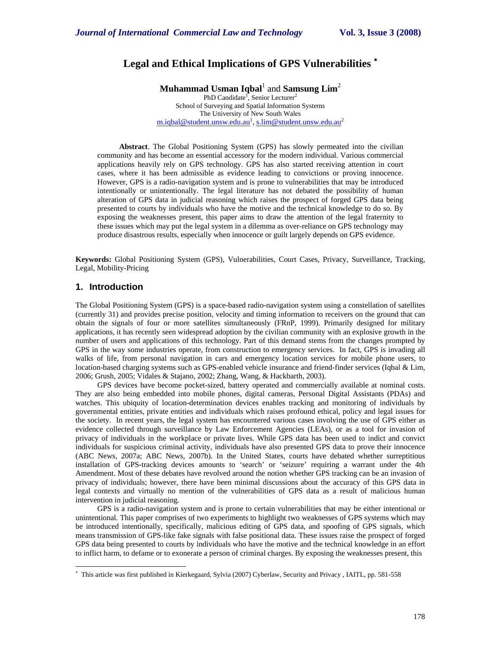# **Legal and Ethical Implications of GPS Vulnerabilities** <sup>∗</sup>

**Muhammad Usman Iqbal**<sup>1</sup> and **Samsung Lim**<sup>2</sup> PhD Candidate<sup>1</sup>, Senior Lecturer<sup>2</sup> School of Surveying and Spatial Information Systems The University of New South Wales <u>m.iqbal@student.unsw.edu.au<sup>1</sup>, s.lim@student.unsw.edu.au<sup>2</sup></u>

**Abstract**. The Global Positioning System (GPS) has slowly permeated into the civilian community and has become an essential accessory for the modern individual. Various commercial applications heavily rely on GPS technology. GPS has also started receiving attention in court cases, where it has been admissible as evidence leading to convictions or proving innocence. However, GPS is a radio-navigation system and is prone to vulnerabilities that may be introduced intentionally or unintentionally. The legal literature has not debated the possibility of human alteration of GPS data in judicial reasoning which raises the prospect of forged GPS data being presented to courts by individuals who have the motive and the technical knowledge to do so. By exposing the weaknesses present, this paper aims to draw the attention of the legal fraternity to these issues which may put the legal system in a dilemma as over-reliance on GPS technology may produce disastrous results, especially when innocence or guilt largely depends on GPS evidence.

**Keywords:** Global Positioning System (GPS), Vulnerabilities, Court Cases, Privacy, Surveillance, Tracking, Legal, Mobility-Pricing

### **1. Introduction**

l

The Global Positioning System (GPS) is a space-based radio-navigation system using a constellation of satellites (currently 31) and provides precise position, velocity and timing information to receivers on the ground that can obtain the signals of four or more satellites simultaneously (FRnP, 1999). Primarily designed for military applications, it has recently seen widespread adoption by the civilian community with an explosive growth in the number of users and applications of this technology. Part of this demand stems from the changes prompted by GPS in the way some industries operate, from construction to emergency services. In fact, GPS is invading all walks of life, from personal navigation in cars and emergency location services for mobile phone users, to location-based charging systems such as GPS-enabled vehicle insurance and friend-finder services (Iqbal & Lim, 2006; Grush, 2005; Vidales & Stajano, 2002; Zhang, Wang, & Hackbarth, 2003).

GPS devices have become pocket-sized, battery operated and commercially available at nominal costs. They are also being embedded into mobile phones, digital cameras, Personal Digital Assistants (PDAs) and watches. This ubiquity of location-determination devices enables tracking and monitoring of individuals by governmental entities, private entities and individuals which raises profound ethical, policy and legal issues for the society. In recent years, the legal system has encountered various cases involving the use of GPS either as evidence collected through surveillance by Law Enforcement Agencies (LEAs), or as a tool for invasion of privacy of individuals in the workplace or private lives. While GPS data has been used to indict and convict individuals for suspicious criminal activity, individuals have also presented GPS data to prove their innocence (ABC News, 2007a; ABC News, 2007b). In the United States, courts have debated whether surreptitious installation of GPS-tracking devices amounts to 'search' or 'seizure' requiring a warrant under the 4th Amendment. Most of these debates have revolved around the notion whether GPS tracking can be an invasion of privacy of individuals; however, there have been minimal discussions about the accuracy of this GPS data in legal contexts and virtually no mention of the vulnerabilities of GPS data as a result of malicious human intervention in judicial reasoning.

GPS is a radio-navigation system and is prone to certain vulnerabilities that may be either intentional or unintentional. This paper comprises of two experiments to highlight two weaknesses of GPS systems which may be introduced intentionally, specifically, malicious editing of GPS data, and spoofing of GPS signals, which means transmission of GPS-like fake signals with false positional data. These issues raise the prospect of forged GPS data being presented to courts by individuals who have the motive and the technical knowledge in an effort to inflict harm, to defame or to exonerate a person of criminal charges. By exposing the weaknesses present, this

<sup>∗</sup> This article was first published in Kierkegaard, Sylvia (2007) Cyberlaw, Security and Privacy , IAITL, pp. 581-558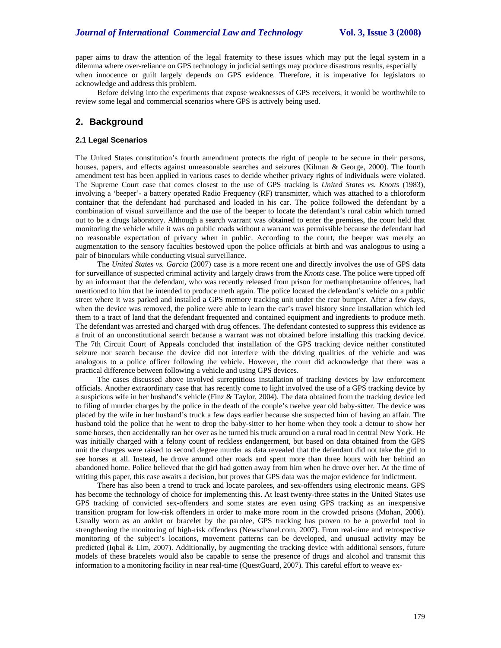paper aims to draw the attention of the legal fraternity to these issues which may put the legal system in a dilemma where over-reliance on GPS technology in judicial settings may produce disastrous results, especially when innocence or guilt largely depends on GPS evidence. Therefore, it is imperative for legislators to acknowledge and address this problem.

Before delving into the experiments that expose weaknesses of GPS receivers, it would be worthwhile to review some legal and commercial scenarios where GPS is actively being used.

## **2. Background**

#### **2.1 Legal Scenarios**

The United States constitution's fourth amendment protects the right of people to be secure in their persons, houses, papers, and effects against unreasonable searches and seizures (Kilman & George, 2000). The fourth amendment test has been applied in various cases to decide whether privacy rights of individuals were violated. The Supreme Court case that comes closest to the use of GPS tracking is *United States vs. Knotts* (1983), involving a 'beeper'- a battery operated Radio Frequency (RF) transmitter, which was attached to a chloroform container that the defendant had purchased and loaded in his car. The police followed the defendant by a combination of visual surveillance and the use of the beeper to locate the defendant's rural cabin which turned out to be a drugs laboratory. Although a search warrant was obtained to enter the premises, the court held that monitoring the vehicle while it was on public roads without a warrant was permissible because the defendant had no reasonable expectation of privacy when in public. According to the court, the beeper was merely an augmentation to the sensory faculties bestowed upon the police officials at birth and was analogous to using a pair of binoculars while conducting visual surveillance.

The *United States vs. Garcia* (2007) case is a more recent one and directly involves the use of GPS data for surveillance of suspected criminal activity and largely draws from the *Knotts* case. The police were tipped off by an informant that the defendant, who was recently released from prison for methamphetamine offences, had mentioned to him that he intended to produce meth again. The police located the defendant's vehicle on a public street where it was parked and installed a GPS memory tracking unit under the rear bumper. After a few days, when the device was removed, the police were able to learn the car's travel history since installation which led them to a tract of land that the defendant frequented and contained equipment and ingredients to produce meth. The defendant was arrested and charged with drug offences. The defendant contested to suppress this evidence as a fruit of an unconstitutional search because a warrant was not obtained before installing this tracking device. The 7th Circuit Court of Appeals concluded that installation of the GPS tracking device neither constituted seizure nor search because the device did not interfere with the driving qualities of the vehicle and was analogous to a police officer following the vehicle. However, the court did acknowledge that there was a practical difference between following a vehicle and using GPS devices.

The cases discussed above involved surreptitious installation of tracking devices by law enforcement officials. Another extraordinary case that has recently come to light involved the use of a GPS tracking device by a suspicious wife in her husband's vehicle (Finz & Taylor, 2004). The data obtained from the tracking device led to filing of murder charges by the police in the death of the couple's twelve year old baby-sitter. The device was placed by the wife in her husband's truck a few days earlier because she suspected him of having an affair. The husband told the police that he went to drop the baby-sitter to her home when they took a detour to show her some horses, then accidentally ran her over as he turned his truck around on a rural road in central New York. He was initially charged with a felony count of reckless endangerment, but based on data obtained from the GPS unit the charges were raised to second degree murder as data revealed that the defendant did not take the girl to see horses at all. Instead, he drove around other roads and spent more than three hours with her behind an abandoned home. Police believed that the girl had gotten away from him when he drove over her. At the time of writing this paper, this case awaits a decision, but proves that GPS data was the major evidence for indictment.

There has also been a trend to track and locate parolees, and sex-offenders using electronic means. GPS has become the technology of choice for implementing this. At least twenty-three states in the United States use GPS tracking of convicted sex-offenders and some states are even using GPS tracking as an inexpensive transition program for low-risk offenders in order to make more room in the crowded prisons (Mohan, 2006). Usually worn as an anklet or bracelet by the parolee, GPS tracking has proven to be a powerful tool in strengthening the monitoring of high-risk offenders (Newschanel.com, 2007). From real-time and retrospective monitoring of the subject's locations, movement patterns can be developed, and unusual activity may be predicted (Iqbal & Lim, 2007). Additionally, by augmenting the tracking device with additional sensors, future models of these bracelets would also be capable to sense the presence of drugs and alcohol and transmit this information to a monitoring facility in near real-time (QuestGuard, 2007). This careful effort to weave ex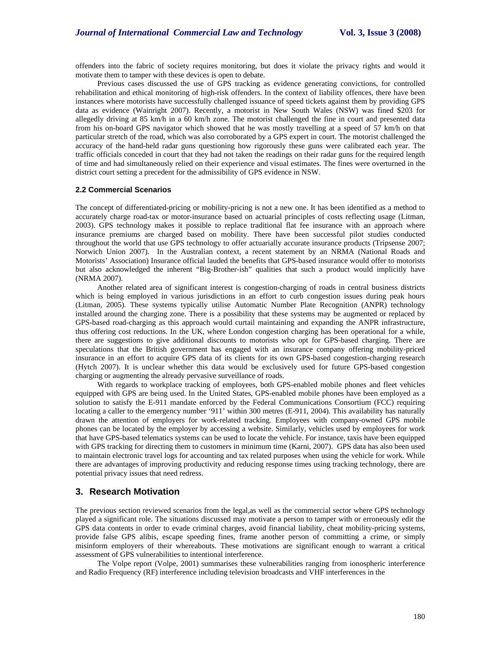offenders into the fabric of society requires monitoring, but does it violate the privacy rights and would it motivate them to tamper with these devices is open to debate.

Previous cases discussed the use of GPS tracking as evidence generating convictions, for controlled rehabilitation and ethical monitoring of high-risk offenders. In the context of liability offences, there have been instances where motorists have successfully challenged issuance of speed tickets against them by providing GPS data as evidence (Wainright 2007). Recently, a motorist in New South Wales (NSW) was fined \$203 for allegedly driving at 85 km/h in a 60 km/h zone. The motorist challenged the fine in court and presented data from his on-board GPS navigator which showed that he was mostly travelling at a speed of 57 km/h on that particular stretch of the road, which was also corroborated by a GPS expert in court. The motorist challenged the accuracy of the hand-held radar guns questioning how rigorously these guns were calibrated each year. The traffic officials conceded in court that they had not taken the readings on their radar guns for the required length of time and had simultaneously relied on their experience and visual estimates. The fines were overturned in the district court setting a precedent for the admissibility of GPS evidence in NSW.

#### **2.2 Commercial Scenarios**

The concept of differentiated-pricing or mobility-pricing is not a new one. It has been identified as a method to accurately charge road-tax or motor-insurance based on actuarial principles of costs reflecting usage (Litman, 2003). GPS technology makes it possible to replace traditional flat fee insurance with an approach where insurance premiums are charged based on mobility. There have been successful pilot studies conducted throughout the world that use GPS technology to offer actuarially accurate insurance products (Tripsense 2007; Norwich Union 2007). In the Australian context, a recent statement by an NRMA (National Roads and Motorists' Association) Insurance official lauded the benefits that GPS-based insurance would offer to motorists but also acknowledged the inherent "Big-Brother-ish" qualities that such a product would implicitly have (NRMA 2007).

Another related area of significant interest is congestion-charging of roads in central business districts which is being employed in various jurisdictions in an effort to curb congestion issues during peak hours (Litman, 2005). These systems typically utilise Automatic Number Plate Recognition (ANPR) technology installed around the charging zone. There is a possibility that these systems may be augmented or replaced by GPS-based road-charging as this approach would curtail maintaining and expanding the ANPR infrastructure, thus offering cost reductions. In the UK, where London congestion charging has been operational for a while, there are suggestions to give additional discounts to motorists who opt for GPS-based charging. There are speculations that the British government has engaged with an insurance company offering mobility-priced insurance in an effort to acquire GPS data of its clients for its own GPS-based congestion-charging research (Hytch 2007). It is unclear whether this data would be exclusively used for future GPS-based congestion charging or augmenting the already pervasive surveillance of roads.

With regards to workplace tracking of employees, both GPS-enabled mobile phones and fleet vehicles equipped with GPS are being used. In the United States, GPS-enabled mobile phones have been employed as a solution to satisfy the E-911 mandate enforced by the Federal Communications Consortium (FCC) requiring locating a caller to the emergency number '911' within 300 metres (E-911, 2004). This availability has naturally drawn the attention of employers for work-related tracking. Employees with company-owned GPS mobile phones can be located by the employer by accessing a website. Similarly, vehicles used by employees for work that have GPS-based telematics systems can be used to locate the vehicle. For instance, taxis have been equipped with GPS tracking for directing them to customers in minimum time (Karni, 2007). GPS data has also been used to maintain electronic travel logs for accounting and tax related purposes when using the vehicle for work. While there are advantages of improving productivity and reducing response times using tracking technology, there are potential privacy issues that need redress.

### **3. Research Motivation**

The previous section reviewed scenarios from the legal,as well as the commercial sector where GPS technology played a significant role. The situations discussed may motivate a person to tamper with or erroneously edit the GPS data contents in order to evade criminal charges, avoid financial liability, cheat mobility-pricing systems, provide false GPS alibis, escape speeding fines, frame another person of committing a crime, or simply misinform employers of their whereabouts. These motivations are significant enough to warrant a critical assessment of GPS vulnerabilities to intentional interference.

The Volpe report (Volpe, 2001) summarises these vulnerabilities ranging from ionospheric interference and Radio Frequency (RF) interference including television broadcasts and VHF interferences in the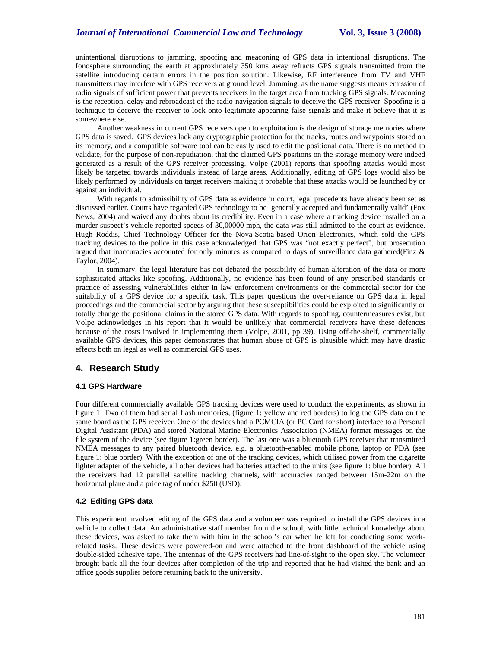### *Journal of International Commercial Law and Technology* **Vol. 3, Issue 3 (2008)**

unintentional disruptions to jamming, spoofing and meaconing of GPS data in intentional disruptions. The Ionosphere surrounding the earth at approximately 350 kms away refracts GPS signals transmitted from the satellite introducing certain errors in the position solution. Likewise, RF interference from TV and VHF transmitters may interfere with GPS receivers at ground level. Jamming, as the name suggests means emission of radio signals of sufficient power that prevents receivers in the target area from tracking GPS signals. Meaconing is the reception, delay and rebroadcast of the radio-navigation signals to deceive the GPS receiver. Spoofing is a technique to deceive the receiver to lock onto legitimate-appearing false signals and make it believe that it is somewhere else.

Another weakness in current GPS receivers open to exploitation is the design of storage memories where GPS data is saved. GPS devices lack any cryptographic protection for the tracks, routes and waypoints stored on its memory, and a compatible software tool can be easily used to edit the positional data. There is no method to validate, for the purpose of non-repudiation, that the claimed GPS positions on the storage memory were indeed generated as a result of the GPS receiver processing. Volpe (2001) reports that spoofing attacks would most likely be targeted towards individuals instead of large areas. Additionally, editing of GPS logs would also be likely performed by individuals on target receivers making it probable that these attacks would be launched by or against an individual.

With regards to admissibility of GPS data as evidence in court, legal precedents have already been set as discussed earlier. Courts have regarded GPS technology to be 'generally accepted and fundamentally valid' (Fox News, 2004) and waived any doubts about its credibility. Even in a case where a tracking device installed on a murder suspect's vehicle reported speeds of 30,00000 mph, the data was still admitted to the court as evidence. Hugh Roddis, Chief Technology Officer for the Nova-Scotia-based Orion Electronics, which sold the GPS tracking devices to the police in this case acknowledged that GPS was "not exactly perfect", but prosecution argued that inaccuracies accounted for only minutes as compared to days of surveillance data gathered(Finz & Taylor, 2004).

In summary, the legal literature has not debated the possibility of human alteration of the data or more sophisticated attacks like spoofing. Additionally, no evidence has been found of any prescribed standards or practice of assessing vulnerabilities either in law enforcement environments or the commercial sector for the suitability of a GPS device for a specific task. This paper questions the over-reliance on GPS data in legal proceedings and the commercial sector by arguing that these susceptibilities could be exploited to significantly or totally change the positional claims in the stored GPS data. With regards to spoofing, countermeasures exist, but Volpe acknowledges in his report that it would be unlikely that commercial receivers have these defences because of the costs involved in implementing them (Volpe, 2001, pp 39). Using off-the-shelf, commercially available GPS devices, this paper demonstrates that human abuse of GPS is plausible which may have drastic effects both on legal as well as commercial GPS uses.

## **4. Research Study**

#### **4.1 GPS Hardware**

Four different commercially available GPS tracking devices were used to conduct the experiments, as shown in figure 1. Two of them had serial flash memories, (figure 1: yellow and red borders) to log the GPS data on the same board as the GPS receiver. One of the devices had a PCMCIA (or PC Card for short) interface to a Personal Digital Assistant (PDA) and stored National Marine Electronics Association (NMEA) format messages on the file system of the device (see figure 1:green border). The last one was a bluetooth GPS receiver that transmitted NMEA messages to any paired bluetooth device, e.g. a bluetooth-enabled mobile phone, laptop or PDA (see figure 1: blue border). With the exception of one of the tracking devices, which utilised power from the cigarette lighter adapter of the vehicle, all other devices had batteries attached to the units (see figure 1: blue border). All the receivers had 12 parallel satellite tracking channels, with accuracies ranged between 15m-22m on the horizontal plane and a price tag of under \$250 (USD).

#### **4.2 Editing GPS data**

This experiment involved editing of the GPS data and a volunteer was required to install the GPS devices in a vehicle to collect data. An administrative staff member from the school, with little technical knowledge about these devices, was asked to take them with him in the school's car when he left for conducting some workrelated tasks. These devices were powered-on and were attached to the front dashboard of the vehicle using double-sided adhesive tape. The antennas of the GPS receivers had line-of-sight to the open sky. The volunteer brought back all the four devices after completion of the trip and reported that he had visited the bank and an office goods supplier before returning back to the university.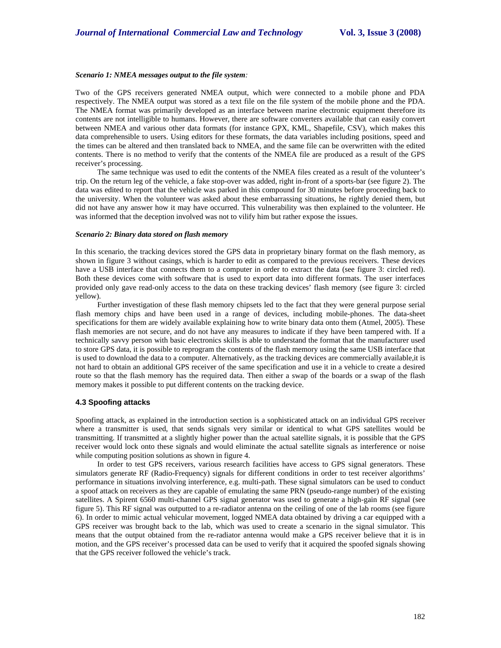#### *Scenario 1: NMEA messages output to the file system:*

Two of the GPS receivers generated NMEA output, which were connected to a mobile phone and PDA respectively. The NMEA output was stored as a text file on the file system of the mobile phone and the PDA. The NMEA format was primarily developed as an interface between marine electronic equipment therefore its contents are not intelligible to humans. However, there are software converters available that can easily convert between NMEA and various other data formats (for instance GPX, KML, Shapefile, CSV), which makes this data comprehensible to users. Using editors for these formats, the data variables including positions, speed and the times can be altered and then translated back to NMEA, and the same file can be overwritten with the edited contents. There is no method to verify that the contents of the NMEA file are produced as a result of the GPS receiver's processing.

The same technique was used to edit the contents of the NMEA files created as a result of the volunteer's trip. On the return leg of the vehicle, a fake stop-over was added, right in-front of a sports-bar (see figure 2). The data was edited to report that the vehicle was parked in this compound for 30 minutes before proceeding back to the university. When the volunteer was asked about these embarrassing situations, he rightly denied them, but did not have any answer how it may have occurred. This vulnerability was then explained to the volunteer. He was informed that the deception involved was not to vilify him but rather expose the issues.

#### *Scenario 2: Binary data stored on flash memory*

In this scenario, the tracking devices stored the GPS data in proprietary binary format on the flash memory, as shown in figure 3 without casings, which is harder to edit as compared to the previous receivers. These devices have a USB interface that connects them to a computer in order to extract the data (see figure 3: circled red). Both these devices come with software that is used to export data into different formats. The user interfaces provided only gave read-only access to the data on these tracking devices' flash memory (see figure 3: circled yellow).

Further investigation of these flash memory chipsets led to the fact that they were general purpose serial flash memory chips and have been used in a range of devices, including mobile-phones. The data-sheet specifications for them are widely available explaining how to write binary data onto them (Atmel, 2005). These flash memories are not secure, and do not have any measures to indicate if they have been tampered with. If a technically savvy person with basic electronics skills is able to understand the format that the manufacturer used to store GPS data, it is possible to reprogram the contents of the flash memory using the same USB interface that is used to download the data to a computer. Alternatively, as the tracking devices are commercially available,it is not hard to obtain an additional GPS receiver of the same specification and use it in a vehicle to create a desired route so that the flash memory has the required data. Then either a swap of the boards or a swap of the flash memory makes it possible to put different contents on the tracking device.

#### **4.3 Spoofing attacks**

Spoofing attack, as explained in the introduction section is a sophisticated attack on an individual GPS receiver where a transmitter is used, that sends signals very similar or identical to what GPS satellites would be transmitting. If transmitted at a slightly higher power than the actual satellite signals, it is possible that the GPS receiver would lock onto these signals and would eliminate the actual satellite signals as interference or noise while computing position solutions as shown in figure 4.

In order to test GPS receivers, various research facilities have access to GPS signal generators. These simulators generate RF (Radio-Frequency) signals for different conditions in order to test receiver algorithms' performance in situations involving interference, e.g. multi-path. These signal simulators can be used to conduct a spoof attack on receivers as they are capable of emulating the same PRN (pseudo-range number) of the existing satellites. A Spirent 6560 multi-channel GPS signal generator was used to generate a high-gain RF signal (see figure 5). This RF signal was outputted to a re-radiator antenna on the ceiling of one of the lab rooms (see figure 6). In order to mimic actual vehicular movement, logged NMEA data obtained by driving a car equipped with a GPS receiver was brought back to the lab, which was used to create a scenario in the signal simulator. This means that the output obtained from the re-radiator antenna would make a GPS receiver believe that it is in motion, and the GPS receiver's processed data can be used to verify that it acquired the spoofed signals showing that the GPS receiver followed the vehicle's track.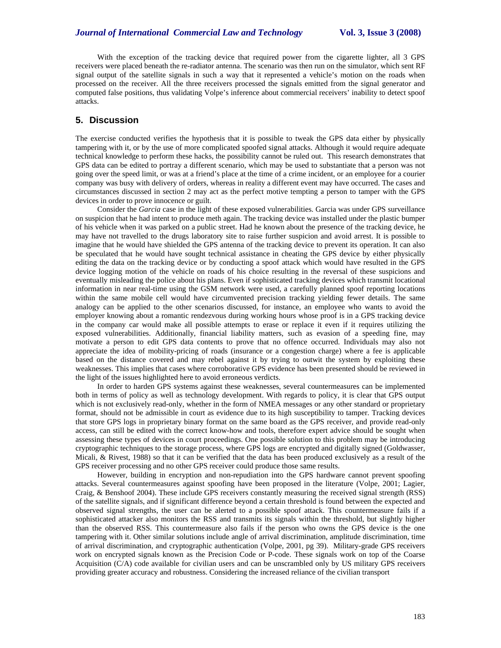With the exception of the tracking device that required power from the cigarette lighter, all 3 GPS receivers were placed beneath the re-radiator antenna. The scenario was then run on the simulator, which sent RF signal output of the satellite signals in such a way that it represented a vehicle's motion on the roads when processed on the receiver. All the three receivers processed the signals emitted from the signal generator and computed false positions, thus validating Volpe's inference about commercial receivers' inability to detect spoof attacks.

## **5. Discussion**

The exercise conducted verifies the hypothesis that it is possible to tweak the GPS data either by physically tampering with it, or by the use of more complicated spoofed signal attacks. Although it would require adequate technical knowledge to perform these hacks, the possibility cannot be ruled out. This research demonstrates that GPS data can be edited to portray a different scenario, which may be used to substantiate that a person was not going over the speed limit, or was at a friend's place at the time of a crime incident, or an employee for a courier company was busy with delivery of orders, whereas in reality a different event may have occurred. The cases and circumstances discussed in section 2 may act as the perfect motive tempting a person to tamper with the GPS devices in order to prove innocence or guilt.

Consider the *Garcia* case in the light of these exposed vulnerabilities. Garcia was under GPS surveillance on suspicion that he had intent to produce meth again. The tracking device was installed under the plastic bumper of his vehicle when it was parked on a public street. Had he known about the presence of the tracking device, he may have not travelled to the drugs laboratory site to raise further suspicion and avoid arrest. It is possible to imagine that he would have shielded the GPS antenna of the tracking device to prevent its operation. It can also be speculated that he would have sought technical assistance in cheating the GPS device by either physically editing the data on the tracking device or by conducting a spoof attack which would have resulted in the GPS device logging motion of the vehicle on roads of his choice resulting in the reversal of these suspicions and eventually misleading the police about his plans. Even if sophisticated tracking devices which transmit locational information in near real-time using the GSM network were used, a carefully planned spoof reporting locations within the same mobile cell would have circumvented precision tracking yielding fewer details. The same analogy can be applied to the other scenarios discussed, for instance, an employee who wants to avoid the employer knowing about a romantic rendezvous during working hours whose proof is in a GPS tracking device in the company car would make all possible attempts to erase or replace it even if it requires utilizing the exposed vulnerabilities. Additionally, financial liability matters, such as evasion of a speeding fine, may motivate a person to edit GPS data contents to prove that no offence occurred. Individuals may also not appreciate the idea of mobility-pricing of roads (insurance or a congestion charge) where a fee is applicable based on the distance covered and may rebel against it by trying to outwit the system by exploiting these weaknesses. This implies that cases where corroborative GPS evidence has been presented should be reviewed in the light of the issues highlighted here to avoid erroneous verdicts.

In order to harden GPS systems against these weaknesses, several countermeasures can be implemented both in terms of policy as well as technology development. With regards to policy, it is clear that GPS output which is not exclusively read-only, whether in the form of NMEA messages or any other standard or proprietary format, should not be admissible in court as evidence due to its high susceptibility to tamper. Tracking devices that store GPS logs in proprietary binary format on the same board as the GPS receiver, and provide read-only access, can still be edited with the correct know-how and tools, therefore expert advice should be sought when assessing these types of devices in court proceedings. One possible solution to this problem may be introducing cryptographic techniques to the storage process, where GPS logs are encrypted and digitally signed (Goldwasser, Micali, & Rivest, 1988) so that it can be verified that the data has been produced exclusively as a result of the GPS receiver processing and no other GPS receiver could produce those same results.

However, building in encryption and non-repudiation into the GPS hardware cannot prevent spoofing attacks. Several countermeasures against spoofing have been proposed in the literature (Volpe, 2001; Lagier, Craig, & Benshoof 2004). These include GPS receivers constantly measuring the received signal strength (RSS) of the satellite signals, and if significant difference beyond a certain threshold is found between the expected and observed signal strengths, the user can be alerted to a possible spoof attack. This countermeasure fails if a sophisticated attacker also monitors the RSS and transmits its signals within the threshold, but slightly higher than the observed RSS. This countermeasure also fails if the person who owns the GPS device is the one tampering with it. Other similar solutions include angle of arrival discrimination, amplitude discrimination, time of arrival discrimination, and cryptographic authentication (Volpe, 2001, pg 39). Military-grade GPS receivers work on encrypted signals known as the Precision Code or P-code. These signals work on top of the Coarse Acquisition (C/A) code available for civilian users and can be unscrambled only by US military GPS receivers providing greater accuracy and robustness. Considering the increased reliance of the civilian transport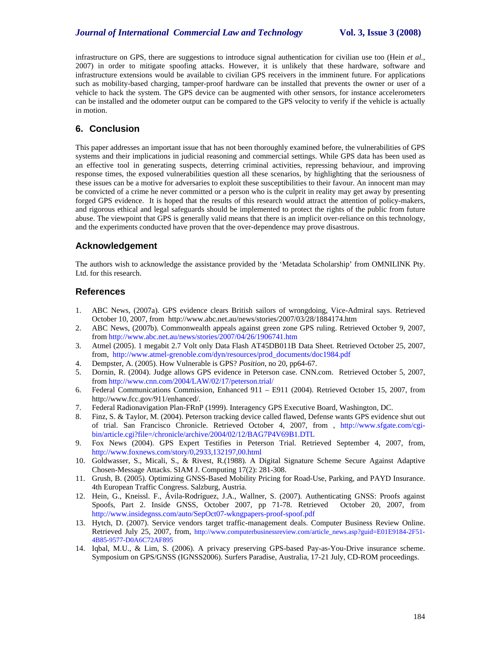infrastructure on GPS, there are suggestions to introduce signal authentication for civilian use too (Hein *et al.*, 2007) in order to mitigate spoofing attacks. However, it is unlikely that these hardware, software and infrastructure extensions would be available to civilian GPS receivers in the imminent future. For applications such as mobility-based charging, tamper-proof hardware can be installed that prevents the owner or user of a vehicle to hack the system. The GPS device can be augmented with other sensors, for instance accelerometers can be installed and the odometer output can be compared to the GPS velocity to verify if the vehicle is actually in motion.

# **6. Conclusion**

This paper addresses an important issue that has not been thoroughly examined before, the vulnerabilities of GPS systems and their implications in judicial reasoning and commercial settings. While GPS data has been used as an effective tool in generating suspects, deterring criminal activities, repressing behaviour, and improving response times, the exposed vulnerabilities question all these scenarios, by highlighting that the seriousness of these issues can be a motive for adversaries to exploit these susceptibilities to their favour. An innocent man may be convicted of a crime he never committed or a person who is the culprit in reality may get away by presenting forged GPS evidence. It is hoped that the results of this research would attract the attention of policy-makers, and rigorous ethical and legal safeguards should be implemented to protect the rights of the public from future abuse. The viewpoint that GPS is generally valid means that there is an implicit over-reliance on this technology, and the experiments conducted have proven that the over-dependence may prove disastrous.

## **Acknowledgement**

The authors wish to acknowledge the assistance provided by the 'Metadata Scholarship' from OMNILINK Pty. Ltd. for this research.

## **References**

- 1. ABC News, (2007a). GPS evidence clears British sailors of wrongdoing, Vice-Admiral says. Retrieved October 10, 2007, from http://www.abc.net.au/news/stories/2007/03/28/1884174.htm
- 2. ABC News, (2007b). Commonwealth appeals against green zone GPS ruling. Retrieved October 9, 2007, from http://www.abc.net.au/news/stories/2007/04/26/1906741.htm
- 3. Atmel (2005). 1 megabit 2.7 Volt only Data Flash AT45DB011B Data Sheet. Retrieved October 25, 2007, from, http://www.atmel-grenoble.com/dyn/resources/prod\_documents/doc1984.pdf
- 4. Dempster, A. (2005). How Vulnerable is GPS? *Position*, no 20, pp64-67.
- 5. Dornin, R. (2004). Judge allows GPS evidence in Peterson case. CNN.com. Retrieved October 5, 2007, from http://www.cnn.com/2004/LAW/02/17/peterson.trial/
- 6. Federal Communications Commission, Enhanced 911 E911 (2004). Retrieved October 15, 2007, from http://www.fcc.gov/911/enhanced/.
- 7. Federal Radionavigation Plan-FRnP (1999). Interagency GPS Executive Board, Washington, DC.
- 8. Finz, S. & Taylor, M. (2004). Peterson tracking device called flawed, Defense wants GPS evidence shut out of trial. San Francisco Chronicle. Retrieved October 4, 2007, from , http://www.sfgate.com/cgibin/article.cgi?file=/chronicle/archive/2004/02/12/BAG7P4V69B1.DTL
- 9. Fox News (2004). GPS Expert Testifies in Peterson Trial. Retrieved September 4, 2007, from, http://www.foxnews.com/story/0,2933,132197,00.html
- 10. Goldwasser, S., Micali, S., & Rivest, R.(1988). A Digital Signature Scheme Secure Against Adaptive Chosen-Message Attacks. SIAM J. Computing 17(2): 281-308.
- 11. Grush, B. (2005). Optimizing GNSS-Based Mobility Pricing for Road-Use, Parking, and PAYD Insurance. 4th European Traffic Congress. Salzburg, Austria.
- 12. Hein, G., Kneissl. F., Ávila-Rodríguez, J.A., Wallner, S. (2007). Authenticating GNSS: Proofs against Spoofs, Part 2. Inside GNSS, October 2007, pp 71-78. Retrieved October 20, 2007, from http://www.insidegnss.com/auto/SepOct07-wkngpapers-proof-spoof.pdf
- 13. Hytch, D. (2007). Service vendors target traffic-management deals. Computer Business Review Online. Retrieved July 25, 2007, from, http://www.computerbusinessreview.com/article\_news.asp?guid=E01E9184-2F51- 4B85-9577-D0A6C72AF895
- 14. Iqbal, M.U., & Lim, S. (2006). A privacy preserving GPS-based Pay-as-You-Drive insurance scheme. Symposium on GPS/GNSS (IGNSS2006). Surfers Paradise, Australia, 17-21 July, CD-ROM proceedings.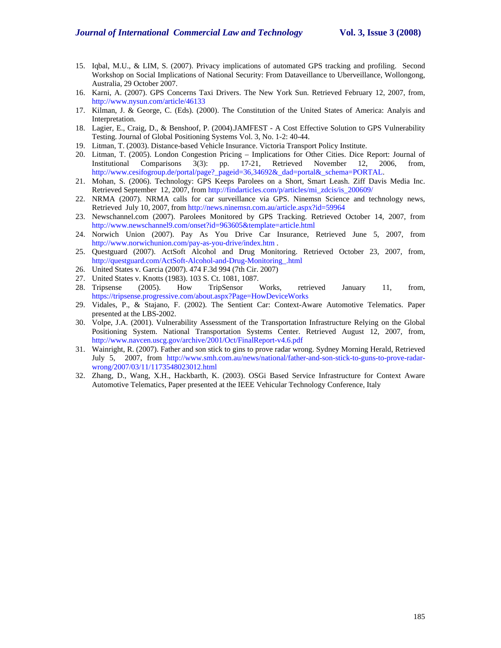- 15. Iqbal, M.U., & LIM, S. (2007). Privacy implications of automated GPS tracking and profiling. Second Workshop on Social Implications of National Security: From Dataveillance to Uberveillance, Wollongong, Australia, 29 October 2007.
- 16. Karni, A. (2007). GPS Concerns Taxi Drivers. The New York Sun. Retrieved February 12, 2007, from, http://www.nysun.com/article/46133
- 17. Kilman, J. & George, C. (Eds). (2000). The Constitution of the United States of America: Analyis and Interpretation.
- 18. Lagier, E., Craig, D., & Benshoof, P. (2004).JAMFEST A Cost Effective Solution to GPS Vulnerability Testing. Journal of Global Positioning Systems Vol. 3, No. 1-2: 40-44.
- 19. Litman, T. (2003). Distance-based Vehicle Insurance. Victoria Transport Policy Institute.
- 20. Litman, T. (2005). London Congestion Pricing Implications for Other Cities. Dice Report: Journal of Institutional Comparisons 3(3): pp. 17-21, Retrieved November 12, 2006, from, http://www.cesifogroup.de/portal/page?\_pageid=36,34692&\_dad=portal&\_schema=PORTAL.
- 21. Mohan, S. (2006). Technology: GPS Keeps Parolees on a Short, Smart Leash. Ziff Davis Media Inc. Retrieved September 12, 2007, from http://findarticles.com/p/articles/mi\_zdcis/is\_200609/
- 22. NRMA (2007). NRMA calls for car surveillance via GPS. Ninemsn Science and technology news, Retrieved July 10, 2007, from http://news.ninemsn.com.au/article.aspx?id=59964
- 23. Newschannel.com (2007). Parolees Monitored by GPS Tracking. Retrieved October 14, 2007, from http://www.newschannel9.com/onset?id=963605&template=article.html
- 24. Norwich Union (2007). Pay As You Drive Car Insurance, Retrieved June 5, 2007, from http://www.norwichunion.com/pay-as-you-drive/index.htm .
- 25. Questguard (2007). ActSoft Alcohol and Drug Monitoring. Retrieved October 23, 2007, from, http://questguard.com/ActSoft-Alcohol-and-Drug-Monitoring\_.html
- 26. United States v. Garcia (2007). 474 F.3d 994 (7th Cir. 2007)
- 27. United States v. Knotts (1983). 103 S. Ct. 1081, 1087.
- 28. Tripsense (2005). How TripSensor Works, retrieved January 11, from, https://tripsense.progressive.com/about.aspx?Page=HowDeviceWorks
- 29. Vidales, P., & Stajano, F. (2002). The Sentient Car: Context-Aware Automotive Telematics. Paper presented at the LBS-2002.
- 30. Volpe, J.A. (2001). Vulnerability Assessment of the Transportation Infrastructure Relying on the Global Positioning System. National Transportation Systems Center. Retrieved August 12, 2007, from, http://www.navcen.uscg.gov/archive/2001/Oct/FinalReport-v4.6.pdf
- 31. Wainright, R. (2007). Father and son stick to gins to prove radar wrong. Sydney Morning Herald, Retrieved July 5, 2007, from http://www.smh.com.au/news/national/father-and-son-stick-to-guns-to-prove-radarwrong/2007/03/11/1173548023012.html
- 32. Zhang, D., Wang, X.H., Hackbarth, K. (2003). OSGi Based Service Infrastructure for Context Aware Automotive Telematics, Paper presented at the IEEE Vehicular Technology Conference, Italy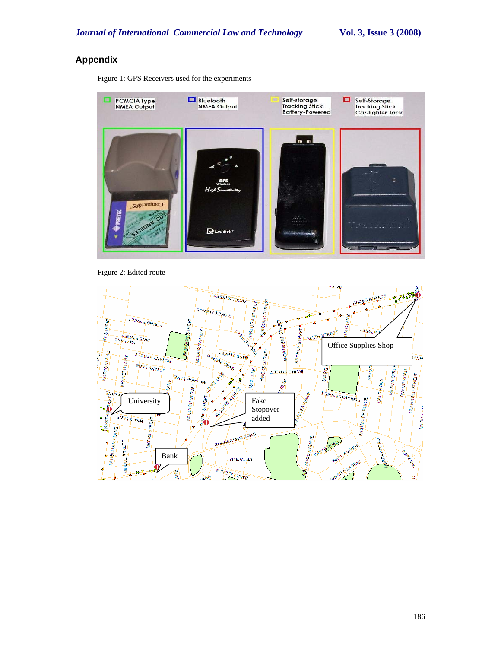# **Appendix**

Figure 1: GPS Receivers used for the experiments



Figure 2: Edited route